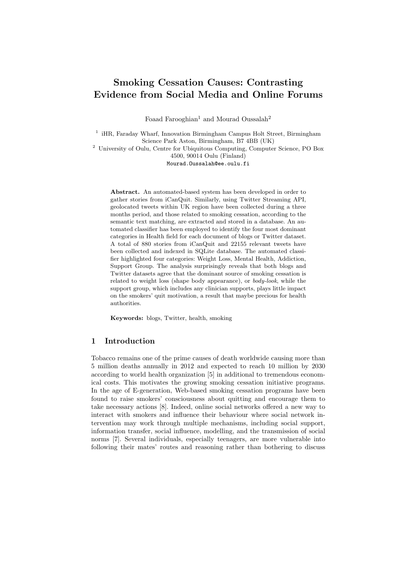# Smoking Cessation Causes: Contrasting Evidence from Social Media and Online Forums

Foaad Farooghian<sup>1</sup> and Mourad Oussalah<sup>2</sup>

<sup>1</sup> iHR, Faraday Wharf, Innovation Birmingham Campus Holt Street, Birmingham Science Park Aston, Birmingham, B7 4BB (UK)

<sup>2</sup> University of Oulu, Centre for Ubiquitous Computing, Computer Science, PO Box 4500, 90014 Oulu (Finland)

Mourad.Oussalah@ee.oulu.fi

Abstract. An automated-based system has been developed in order to gather stories from iCanQuit. Similarly, using Twitter Streaming API, geolocated tweets within UK region have been collected during a three months period, and those related to smoking cessation, according to the semantic text matching, are extracted and stored in a database. An automated classifier has been employed to identify the four most dominant categories in Health field for each document of blogs or Twitter dataset. A total of 880 stories from iCanQuit and 22155 relevant tweets have been collected and indexed in SQLite database. The automated classifier highlighted four categories: Weight Loss, Mental Health, Addiction, Support Group. The analysis surprisingly reveals that both blogs and Twitter datasets agree that the dominant source of smoking cessation is related to weight loss (shape body appearance), or body-look, while the support group, which includes any clinician supports, plays little impact on the smokers' quit motivation, a result that maybe precious for health authorities.

Keywords: blogs, Twitter, health, smoking

# 1 Introduction

Tobacco remains one of the prime causes of death worldwide causing more than 5 million deaths annually in 2012 and expected to reach 10 million by 2030 according to world health organization [5] in additional to tremendous economical costs. This motivates the growing smoking cessation initiative programs. In the age of E-generation, Web-based smoking cessation programs have been found to raise smokers' consciousness about quitting and encourage them to take necessary actions [8]. Indeed, online social networks offered a new way to interact with smokers and influence their behaviour where social network intervention may work through multiple mechanisms, including social support, information transfer, social influence, modelling, and the transmission of social norms [7]. Several individuals, especially teenagers, are more vulnerable into following their mates' routes and reasoning rather than bothering to discuss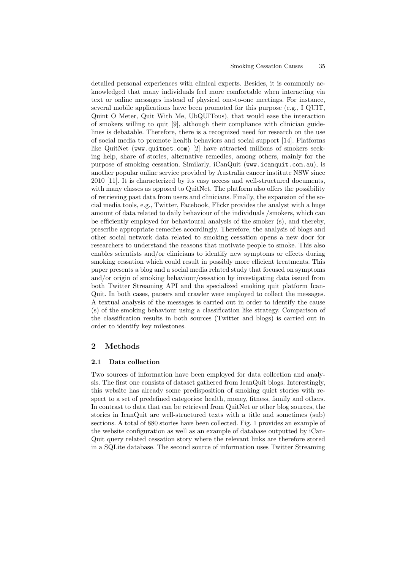detailed personal experiences with clinical experts. Besides, it is commonly acknowledged that many individuals feel more comfortable when interacting via text or online messages instead of physical one-to-one meetings. For instance, several mobile applications have been promoted for this purpose (e.g., I QUIT, Quint O Meter, Quit With Me, UbQUITous), that would ease the interaction of smokers willing to quit [9], although their compliance with clinician guidelines is debatable. Therefore, there is a recognized need for research on the use of social media to promote health behaviors and social support [14]. Platforms like QuitNet (www.quitnet.com) [2] have attracted millions of smokers seeking help, share of stories, alternative remedies, among others, mainly for the purpose of smoking cessation. Similarly, iCanQuit (www.icanquit.com.au), is another popular online service provided by Australia cancer institute NSW since 2010 [11]. It is characterized by its easy access and well-structured documents, with many classes as opposed to QuitNet. The platform also offers the possibility of retrieving past data from users and clinicians. Finally, the expansion of the social media tools, e.g., Twitter, Facebook, Flickr provides the analyst with a huge amount of data related to daily behaviour of the individuals /smokers, which can be efficiently employed for behavioural analysis of the smoker (s), and thereby, prescribe appropriate remedies accordingly. Therefore, the analysis of blogs and other social network data related to smoking cessation opens a new door for researchers to understand the reasons that motivate people to smoke. This also enables scientists and/or clinicians to identify new symptoms or effects during smoking cessation which could result in possibly more efficient treatments. This paper presents a blog and a social media related study that focused on symptoms and/or origin of smoking behaviour/cessation by investigating data issued from both Twitter Streaming API and the specialized smoking quit platform Ican-Quit. In both cases, parsers and crawler were employed to collect the messages. A textual analysis of the messages is carried out in order to identify the cause (s) of the smoking behaviour using a classification like strategy. Comparison of the classification results in both sources (Twitter and blogs) is carried out in order to identify key milestones.

# 2 Methods

## 2.1 Data collection

Two sources of information have been employed for data collection and analysis. The first one consists of dataset gathered from IcanQuit blogs. Interestingly, this website has already some predisposition of smoking quiet stories with respect to a set of predefined categories: health, money, fitness, family and others. In contrast to data that can be retrieved from QuitNet or other blog sources, the stories in IcanQuit are well-structured texts with a title and sometimes (sub) sections. A total of 880 stories have been collected. Fig. 1 provides an example of the website configuration as well as an example of database outputted by iCan-Quit query related cessation story where the relevant links are therefore stored in a SQLite database. The second source of information uses Twitter Streaming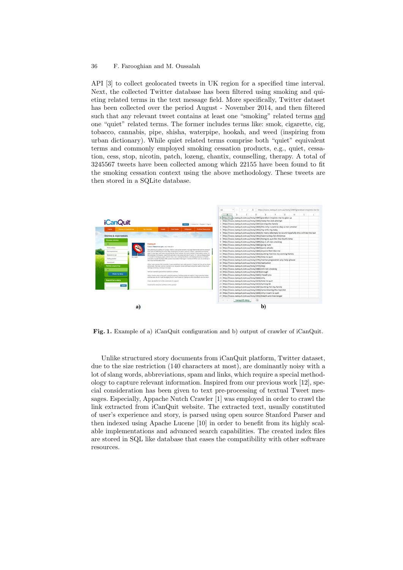## 36 F. Farooghian and M. Oussalah

API [3] to collect geolocated tweets in UK region for a specified time interval. Next, the collected Twitter database has been filtered using smoking and quieting related terms in the text message field. More specifically, Twitter dataset has been collected over the period August - November 2014, and then filtered such that any relevant tweet contains at least one "smoking" related terms and one "quiet" related terms. The former includes terms like: smok, cigarette, cig, tobacco, cannabis, pipe, shisha, waterpipe, hookah, and weed (inspiring from urban dictionary). While quiet related terms comprise both "quiet" equivalent terms and commonly employed smoking cessation products, e.g., quiet, cessation, cess, stop, nicotin, patch, lozeng, chantix, counselling, therapy. A total of 3245567 tweets have been collected among which 22155 have been found to fit the smoking cessation context using the above methodology. These tweets are then stored in a SQLite database.



Fig. 1. Example of a) iCanQuit configuration and b) output of crawler of iCanQuit.

Unlike structured story documents from iCanQuit platform, Twitter dataset, due to the size restriction (140 characters at most), are dominantly noisy with a lot of slang words, abbreviations, spam and links, which require a special methodology to capture relevant information. Inspired from our previous work [12], special consideration has been given to text pre-processing of textual Tweet messages. Especially, Appache Nutch Crawler [1] was employed in order to crawl the link extracted from iCanQuit website. The extracted text, usually constituted of user's experience and story, is parsed using open source Stanford Parser and then indexed using Apache Lucene [10] in order to benefit from its highly scalable implementations and advanced search capabilities. The created index files are stored in SQL like database that eases the compatibility with other software resources.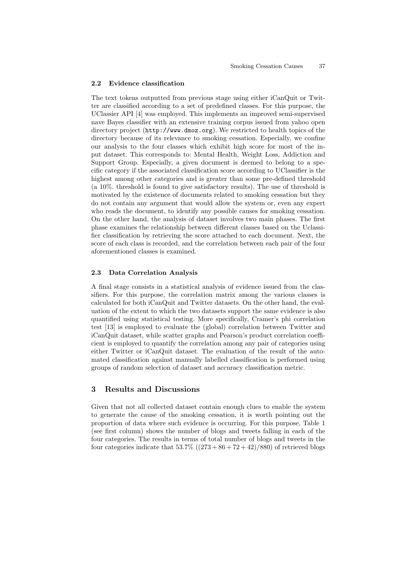#### 2.2 Evidence classification

The text tokens outputted from previous stage using either iCanQuit or Twitter are classified according to a set of predefined classes. For this purpose, the UClassier API [4] was employed. This implements an improved semi-supervised nave Bayes classifier with an extensive training corpus issued from yahoo open directory project (http://www.dmoz.org). We restricted to health topics of the directory because of its relevance to smoking cessation. Especially, we confine our analysis to the four classes which exhibit high score for most of the input dataset. This corresponds to: Mental Health, Weight Loss, Addiction and Support Group. Especially, a given document is deemed to belong to a specific category if the associated classification score according to UClassifier is the highest among other categories and is greater than some pre-defined threshold (a 10%. threshold is found to give satisfactory results). The use of threshold is motivated by the existence of documents related to smoking cessation but they do not contain any argument that would allow the system or, even any expert who reads the document, to identify any possible causes for smoking cessation. On the other hand, the analysis of dataset involves two main phases. The first phase examines the relationship between different classes based on the Uclassifier classification by retrieving the score attached to each document. Next, the score of each class is recorded, and the correlation between each pair of the four aforementioned classes is examined.

## 2.3 Data Correlation Analysis

A final stage consists in a statistical analysis of evidence issued from the classifiers. For this purpose, the correlation matrix among the various classes is calculated for both iCanQuit and Twitter datasets. On the other hand, the evaluation of the extent to which the two datasets support the same evidence is also quantified using statistical testing. More specifically, Cramer's phi correlation test [13] is employed to evaluate the (global) correlation between Twitter and iCanQuit dataset, while scatter graphs and Pearson's product correlation coefficient is employed to quantify the correlation among any pair of categories using either Twitter or iCanQuit dataset. The evaluation of the result of the automated classification against manually labelled classification is performed using groups of random selection of dataset and accuracy classification metric.

# 3 Results and Discussions

Given that not all collected dataset contain enough clues to enable the system to generate the cause of the smoking cessation, it is worth pointing out the proportion of data where such evidence is occurring. For this purpose, Table 1 (see first column) shows the number of blogs and tweets falling in each of the four categories. The results in terms of total number of blogs and tweets in the four categories indicate that  $53.7\%$  ( $(273 + 86 + 72 + 42)/880$ ) of retrieved blogs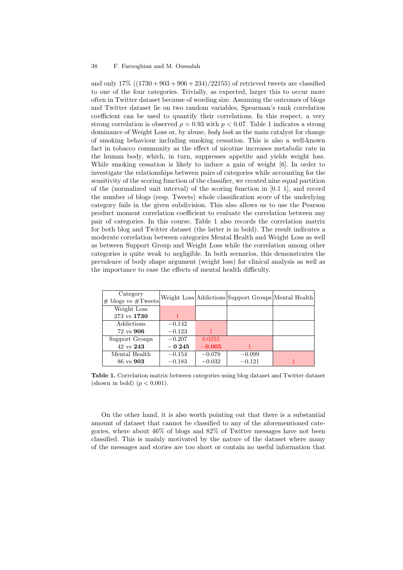and only  $17\%$  ((1730 + 903 + 906 + 234)/22155) of retrieved tweets are classified to one of the four categories. Trivially, as expected, larger this to occur more often in Twitter dataset because of wording size. Assuming the outcomes of blogs and Twitter dataset lie on two random variables, Spearman's rank correlation coefficient can be used to quantify their correlations. In this respect, a very strong correlation is observed  $\rho = 0.93$  with  $p < 0.07$ . Table 1 indicates a strong dominance of Weight Loss or, by abuse, body look as the main catalyst for change of smoking behaviour including smoking cessation. This is also a well-known fact in tobacco community as the effect of nicotine increases metabolic rate in the human body, which, in turn, suppresses appetite and yields weight loss. While smoking cessation is likely to induce a gain of weight [6]. In order to investigate the relationships between pairs of categories while accounting for the sensitivity of the scoring function of the classifier, we created nine equal partition of the (normalized unit interval) of the scoring function in [0.1 1], and record the number of blogs (resp. Tweets) whole classification score of the underlying category fails in the given subdivision. This also allows us to use the Pearson product moment correlation coefficient to evaluate the correlation between any pair of categories. In this course, Table 1 also records the correlation matrix for both blog and Twitter dataset (the latter is in bold). The result indicates a moderate correlation between categories Mental Health and Weight Loss as well as between Support Group and Weight Loss while the correlation among other categories is quite weak to negligible. In both scenarios, this demonstrates the prevalence of body shape argument (weight loss) for clinical analysis as well as the importance to ease the effects of mental health difficulty.

| Category<br>$#$ blogs vs $#T$ weets |          |          | Weight Loss Addictions Support Groups Mental Health |  |
|-------------------------------------|----------|----------|-----------------------------------------------------|--|
| Weight Loss                         |          |          |                                                     |  |
| 273 vs 1730                         |          |          |                                                     |  |
| Addictions                          | $-0.142$ |          |                                                     |  |
| 72 vs 906                           | $-0.123$ |          |                                                     |  |
| Support Groups                      | $-0.207$ | 0.0255   |                                                     |  |
| 42 vs 243                           | $-0.245$ | $-0.005$ |                                                     |  |
| Mental Health                       | $-0.154$ | $-0.078$ | $-0.099$                                            |  |
| 86 vs 903                           | $-0.183$ | $-0.032$ | $-0.121$                                            |  |

Table 1. Correlation matrix between categories using blog dataset and Twitter dataset (shown in bold)  $(p < 0.001)$ .

On the other hand, it is also worth pointing out that there is a substantial amount of dataset that cannot be classified to any of the aforementioned categories, where about 46% of blogs and 82% of Twitter messages have not been classified. This is mainly motivated by the nature of the dataset where many of the messages and stories are too short or contain no useful information that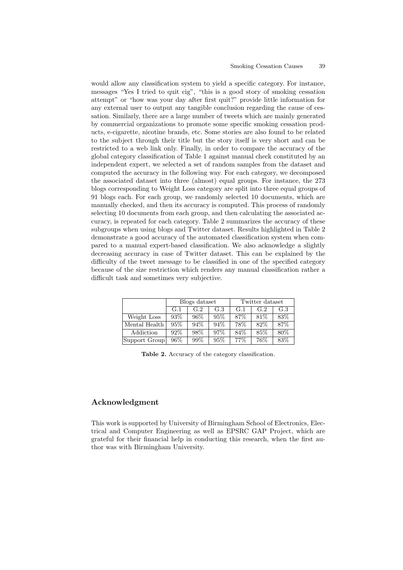would allow any classification system to yield a specific category. For instance, messages "Yes I tried to quit cig", "this is a good story of smoking cessation attempt" or "how was your day after first quit?" provide little information for any external user to output any tangible conclusion regarding the cause of cessation. Similarly, there are a large number of tweets which are mainly generated by commercial organizations to promote some specific smoking cessation products, e-cigarette, nicotine brands, etc. Some stories are also found to be related to the subject through their title but the story itself is very short and can be restricted to a web link only. Finally, in order to compare the accuracy of the global category classification of Table 1 against manual check constituted by an independent expert, we selected a set of random samples from the dataset and computed the accuracy in the following way. For each category, we decomposed the associated dataset into three (almost) equal groups. For instance, the 273 blogs corresponding to Weight Loss category are split into three equal groups of 91 blogs each. For each group, we randomly selected 10 documents, which are manually checked, and then its accuracy is computed. This process of randomly selecting 10 documents from each group, and then calculating the associated accuracy, is repeated for each category. Table 2 summarizes the accuracy of these subgroups when using blogs and Twitter dataset. Results highlighted in Table 2 demonstrate a good accuracy of the automated classification system when compared to a manual expert-based classification. We also acknowledge a slightly decreasing accuracy in case of Twitter dataset. This can be explained by the difficulty of the tweet message to be classified in one of the specified category because of the size restriction which renders any manual classification rather a difficult task and sometimes very subjective.

|               | Blogs dataset |        |        | Twitter dataset |      |     |
|---------------|---------------|--------|--------|-----------------|------|-----|
|               | G.1           | G.2    | G.3    | G.1             | G.2  | G.3 |
| Weight Loss   | $93\%$        | 96%    | 95%    | 87\%            | 81\% | 83% |
| Mental Health | 95%           | $94\%$ | $94\%$ | 78%             | 82%  | 87% |
| Addiction     | 92\%          | 98\%   | $97\%$ | 84\%            | 85%  | 80% |
| Support Group | 96\%          | 99%    | 95%    | 77%             | 76%  | 83% |

Table 2. Accuracy of the category classification.

# Acknowledgment

This work is supported by University of Birmingham School of Electronics, Electrical and Computer Engineering as well as EPSRC GAP Project, which are grateful for their financial help in conducting this research, when the first author was with Birmingham University.